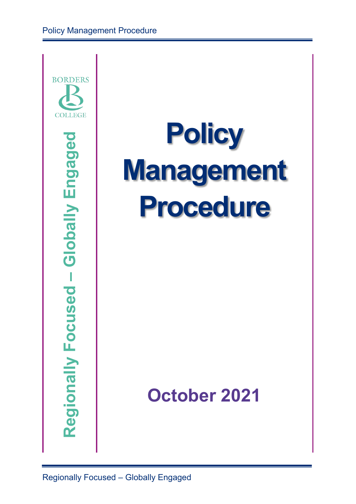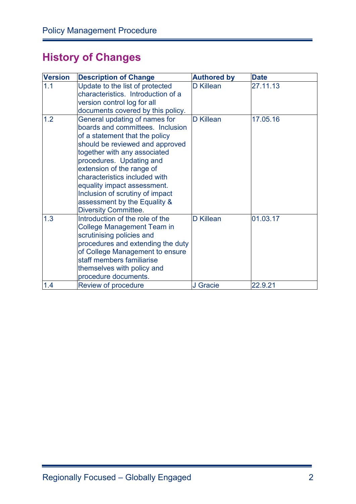# **History of Changes**

| <b>Version</b> | <b>Description of Change</b>                                                                                                                                                                                                                                                                                                                                                                      | <b>Authored by</b> | <b>Date</b> |
|----------------|---------------------------------------------------------------------------------------------------------------------------------------------------------------------------------------------------------------------------------------------------------------------------------------------------------------------------------------------------------------------------------------------------|--------------------|-------------|
| 1.1            | Update to the list of protected<br>characteristics. Introduction of a<br>version control log for all<br>documents covered by this policy.                                                                                                                                                                                                                                                         | <b>D</b> Killean   | 27.11.13    |
| 1.2            | General updating of names for<br>boards and committees. Inclusion<br>of a statement that the policy<br>should be reviewed and approved<br>together with any associated<br>procedures. Updating and<br>extension of the range of<br>characteristics included with<br>equality impact assessment.<br>Inclusion of scrutiny of impact<br>assessment by the Equality &<br><b>Diversity Committee.</b> | <b>D</b> Killean   | 17.05.16    |
| 1.3            | Introduction of the role of the<br><b>College Management Team in</b><br>scrutinising policies and<br>procedures and extending the duty<br>of College Management to ensure<br>staff members familiarise<br>themselves with policy and<br>procedure documents.                                                                                                                                      | <b>D</b> Killean   | 01.03.17    |
| 1.4            | Review of procedure                                                                                                                                                                                                                                                                                                                                                                               | J Gracie           | 22.9.21     |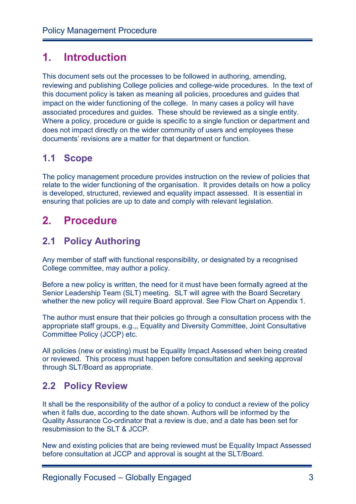# **1. Introduction**

This document sets out the processes to be followed in authoring, amending, reviewing and publishing College policies and college-wide procedures. In the text of this document policy is taken as meaning all policies, procedures and guides that impact on the wider functioning of the college. In many cases a policy will have associated procedures and guides. These should be reviewed as a single entity. Where a policy, procedure or guide is specific to a single function or department and does not impact directly on the wider community of users and employees these documents' revisions are a matter for that department or function.

### **1.1 Scope**

The policy management procedure provides instruction on the review of policies that relate to the wider functioning of the organisation. It provides details on how a policy is developed, structured, reviewed and equality impact assessed. It is essential in ensuring that policies are up to date and comply with relevant legislation.

# **2. Procedure**

### **2.1 Policy Authoring**

Any member of staff with functional responsibility, or designated by a recognised College committee, may author a policy.

Before a new policy is written, the need for it must have been formally agreed at the Senior Leadership Team (SLT) meeting. SLT will agree with the Board Secretary whether the new policy will require Board approval. See Flow Chart on Appendix 1.

The author must ensure that their policies go through a consultation process with the appropriate staff groups, e.g.,, Equality and Diversity Committee, Joint Consultative Committee Policy (JCCP) etc.

All policies (new or existing) must be Equality Impact Assessed when being created or reviewed. This process must happen before consultation and seeking approval through SLT/Board as appropriate.

### **2.2 Policy Review**

It shall be the responsibility of the author of a policy to conduct a review of the policy when it falls due, according to the date shown. Authors will be informed by the Quality Assurance Co-ordinator that a review is due, and a date has been set for resubmission to the SLT & JCCP.

New and existing policies that are being reviewed must be Equality Impact Assessed before consultation at JCCP and approval is sought at the SLT/Board.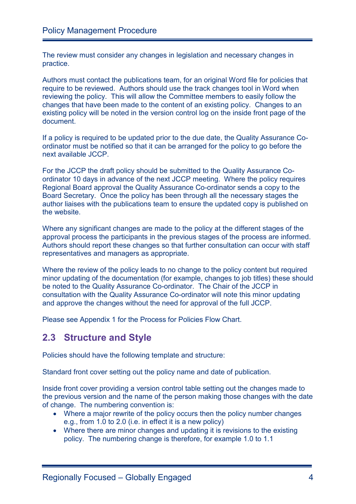The review must consider any changes in legislation and necessary changes in practice.

Authors must contact the publications team, for an original Word file for policies that require to be reviewed. Authors should use the track changes tool in Word when reviewing the policy. This will allow the Committee members to easily follow the changes that have been made to the content of an existing policy. Changes to an existing policy will be noted in the version control log on the inside front page of the document.

If a policy is required to be updated prior to the due date, the Quality Assurance Coordinator must be notified so that it can be arranged for the policy to go before the next available JCCP.

For the JCCP the draft policy should be submitted to the Quality Assurance Coordinator 10 days in advance of the next JCCP meeting. Where the policy requires Regional Board approval the Quality Assurance Co-ordinator sends a copy to the Board Secretary. Once the policy has been through all the necessary stages the author liaises with the publications team to ensure the updated copy is published on the website.

Where any significant changes are made to the policy at the different stages of the approval process the participants in the previous stages of the process are informed. Authors should report these changes so that further consultation can occur with staff representatives and managers as appropriate.

Where the review of the policy leads to no change to the policy content but required minor updating of the documentation (for example, changes to job titles) these should be noted to the Quality Assurance Co-ordinator. The Chair of the JCCP in consultation with the Quality Assurance Co-ordinator will note this minor updating and approve the changes without the need for approval of the full JCCP.

Please see Appendix 1 for the Process for Policies Flow Chart.

### **2.3 Structure and Style**

Policies should have the following template and structure:

Standard front cover setting out the policy name and date of publication.

Inside front cover providing a version control table setting out the changes made to the previous version and the name of the person making those changes with the date of change. The numbering convention is:

- Where a major rewrite of the policy occurs then the policy number changes e.g., from 1.0 to 2.0 (i.e. in effect it is a new policy)
- Where there are minor changes and updating it is revisions to the existing policy. The numbering change is therefore, for example 1.0 to 1.1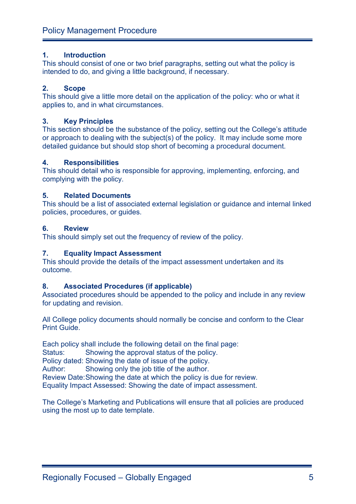#### **1. Introduction**

This should consist of one or two brief paragraphs, setting out what the policy is intended to do, and giving a little background, if necessary.

#### **2. Scope**

This should give a little more detail on the application of the policy: who or what it applies to, and in what circumstances.

#### **3. Key Principles**

This section should be the substance of the policy, setting out the College's attitude or approach to dealing with the subject(s) of the policy. It may include some more detailed guidance but should stop short of becoming a procedural document.

#### **4. Responsibilities**

This should detail who is responsible for approving, implementing, enforcing, and complying with the policy.

#### **5. Related Documents**

This should be a list of associated external legislation or guidance and internal linked policies, procedures, or guides.

#### **6. Review**

This should simply set out the frequency of review of the policy.

#### **7. Equality Impact Assessment**

This should provide the details of the impact assessment undertaken and its outcome.

#### **8. Associated Procedures (if applicable)**

Associated procedures should be appended to the policy and include in any review for updating and revision.

All College policy documents should normally be concise and conform to the Clear Print Guide.

Each policy shall include the following detail on the final page:

Status: Showing the approval status of the policy.

Policy dated: Showing the date of issue of the policy.

Author: Showing only the job title of the author.

Review Date:Showing the date at which the policy is due for review.

Equality Impact Assessed: Showing the date of impact assessment.

The College's Marketing and Publications will ensure that all policies are produced using the most up to date template.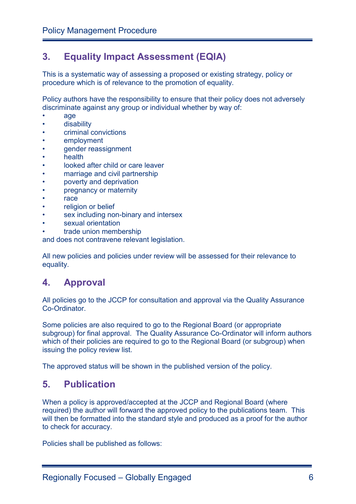### **3. Equality Impact Assessment (EQIA)**

This is a systematic way of assessing a proposed or existing strategy, policy or procedure which is of relevance to the promotion of equality.

Policy authors have the responsibility to ensure that their policy does not adversely discriminate against any group or individual whether by way of:

- age
- disability
- criminal convictions
- employment
- gender reassignment
- health
- looked after child or care leaver
- marriage and civil partnership
- poverty and deprivation
- pregnancy or maternity
- race
- religion or belief
- sex including non-binary and intersex
- sexual orientation
- trade union membership

and does not contravene relevant legislation.

All new policies and policies under review will be assessed for their relevance to equality.

### **4. Approval**

All policies go to the JCCP for consultation and approval via the Quality Assurance Co-Ordinator.

Some policies are also required to go to the Regional Board (or appropriate subgroup) for final approval. The Quality Assurance Co-Ordinator will inform authors which of their policies are required to go to the Regional Board (or subgroup) when issuing the policy review list.

The approved status will be shown in the published version of the policy.

### **5. Publication**

When a policy is approved/accepted at the JCCP and Regional Board (where required) the author will forward the approved policy to the publications team. This will then be formatted into the standard style and produced as a proof for the author to check for accuracy.

Policies shall be published as follows: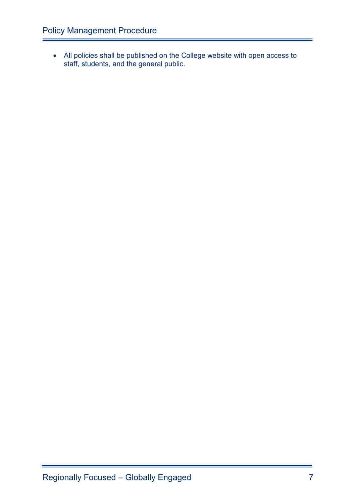• All policies shall be published on the College website with open access to staff, students, and the general public.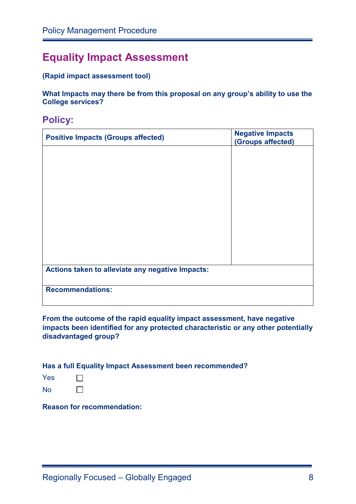# **Equality Impact Assessment**

#### **(Rapid impact assessment tool)**

**What Impacts may there be from this proposal on any group's ability to use the College services?**

**Policy:**

| <b>Positive Impacts (Groups affected)</b>        | <b>Negative Impacts</b><br>(Groups affected) |  |  |
|--------------------------------------------------|----------------------------------------------|--|--|
|                                                  |                                              |  |  |
|                                                  |                                              |  |  |
|                                                  |                                              |  |  |
|                                                  |                                              |  |  |
|                                                  |                                              |  |  |
|                                                  |                                              |  |  |
|                                                  |                                              |  |  |
| Actions taken to alleviate any negative Impacts: |                                              |  |  |
| <b>Recommendations:</b>                          |                                              |  |  |

**From the outcome of the rapid equality impact assessment, have negative impacts been identified for any protected characteristic or any other potentially disadvantaged group?** 

**Has a full Equality Impact Assessment been recommended?** 

- Yes  $\Box$  $\Box$
- No

**Reason for recommendation:**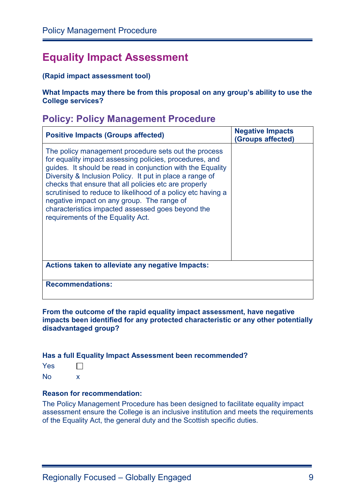# **Equality Impact Assessment**

#### **(Rapid impact assessment tool)**

**What Impacts may there be from this proposal on any group's ability to use the College services?** 

### **Policy: Policy Management Procedure**

| <b>Positive Impacts (Groups affected)</b>                                                                                                                                                                                                                                                                                                                                                                                                                                                                  | <b>Negative Impacts</b><br>(Groups affected) |  |  |  |
|------------------------------------------------------------------------------------------------------------------------------------------------------------------------------------------------------------------------------------------------------------------------------------------------------------------------------------------------------------------------------------------------------------------------------------------------------------------------------------------------------------|----------------------------------------------|--|--|--|
| The policy management procedure sets out the process<br>for equality impact assessing policies, procedures, and<br>guides. It should be read in conjunction with the Equality<br>Diversity & Inclusion Policy. It put in place a range of<br>checks that ensure that all policies etc are properly<br>scrutinised to reduce to likelihood of a policy etc having a<br>negative impact on any group. The range of<br>characteristics impacted assessed goes beyond the<br>requirements of the Equality Act. |                                              |  |  |  |
| Actions taken to alleviate any negative Impacts:                                                                                                                                                                                                                                                                                                                                                                                                                                                           |                                              |  |  |  |
| <b>Recommendations:</b>                                                                                                                                                                                                                                                                                                                                                                                                                                                                                    |                                              |  |  |  |

#### **From the outcome of the rapid equality impact assessment, have negative impacts been identified for any protected characteristic or any other potentially disadvantaged group?**

#### **Has a full Equality Impact Assessment been recommended?**

No x

#### **Reason for recommendation:**

The Policy Management Procedure has been designed to facilitate equality impact assessment ensure the College is an inclusive institution and meets the requirements of the Equality Act, the general duty and the Scottish specific duties.